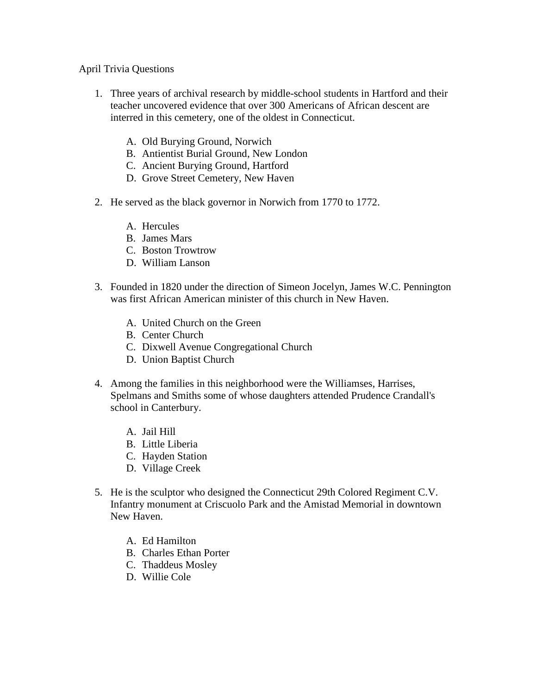## April Trivia Questions

- 1. Three years of archival research by middle-school students in Hartford and their teacher uncovered evidence that over 300 Americans of African descent are interred in this cemetery, one of the oldest in Connecticut.
	- A. Old Burying Ground, Norwich
	- B. Antientist Burial Ground, New London
	- C. Ancient Burying Ground, Hartford
	- D. Grove Street Cemetery, New Haven
- 2. He served as the black governor in Norwich from 1770 to 1772.
	- A. Hercules
	- B. James Mars
	- C. Boston Trowtrow
	- D. William Lanson
- 3. Founded in 1820 under the direction of Simeon Jocelyn, James W.C. Pennington was first African American minister of this church in New Haven.
	- A. United Church on the Green
	- B. Center Church
	- C. Dixwell Avenue Congregational Church
	- D. Union Baptist Church
- 4. Among the families in this neighborhood were the Williamses, Harrises, Spelmans and Smiths some of whose daughters attended Prudence Crandall's school in Canterbury.
	- A. Jail Hill
	- B. Little Liberia
	- C. Hayden Station
	- D. Village Creek
- 5. He is the sculptor who designed the Connecticut 29th Colored Regiment C.V. Infantry monument at Criscuolo Park and the Amistad Memorial in downtown New Haven.
	- A. Ed Hamilton
	- B. Charles Ethan Porter
	- C. Thaddeus Mosley
	- D. Willie Cole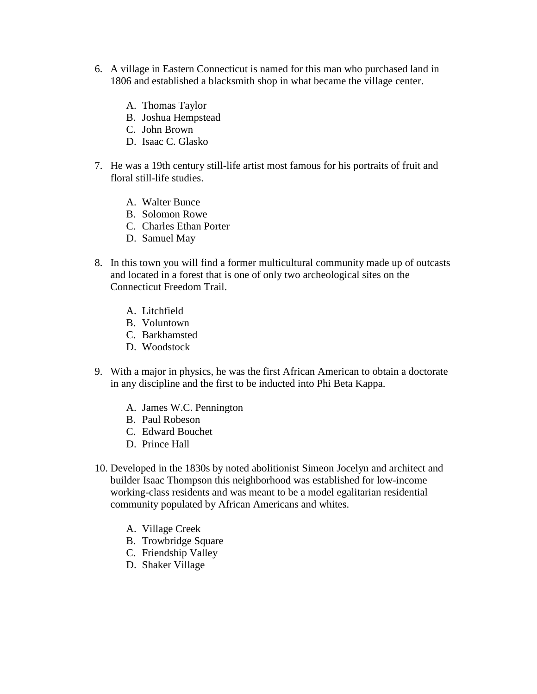- 6. A village in Eastern Connecticut is named for this man who purchased land in 1806 and established a blacksmith shop in what became the village center.
	- A. Thomas Taylor
	- B. Joshua Hempstead
	- C. John Brown
	- D. Isaac C. Glasko
- 7. He was a 19th century still-life artist most famous for his portraits of fruit and floral still-life studies.
	- A. Walter Bunce
	- B. Solomon Rowe
	- C. Charles Ethan Porter
	- D. Samuel May
- 8. In this town you will find a former multicultural community made up of outcasts and located in a forest that is one of only two archeological sites on the Connecticut Freedom Trail.
	- A. Litchfield
	- B. Voluntown
	- C. Barkhamsted
	- D. Woodstock
- 9. With a major in physics, he was the first African American to obtain a doctorate in any discipline and the first to be inducted into Phi Beta Kappa.
	- A. James W.C. Pennington
	- B. Paul Robeson
	- C. Edward Bouchet
	- D. Prince Hall
- 10. Developed in the 1830s by noted abolitionist Simeon Jocelyn and architect and builder Isaac Thompson this neighborhood was established for low-income working-class residents and was meant to be a model egalitarian residential community populated by African Americans and whites.
	- A. Village Creek
	- B. Trowbridge Square
	- C. Friendship Valley
	- D. Shaker Village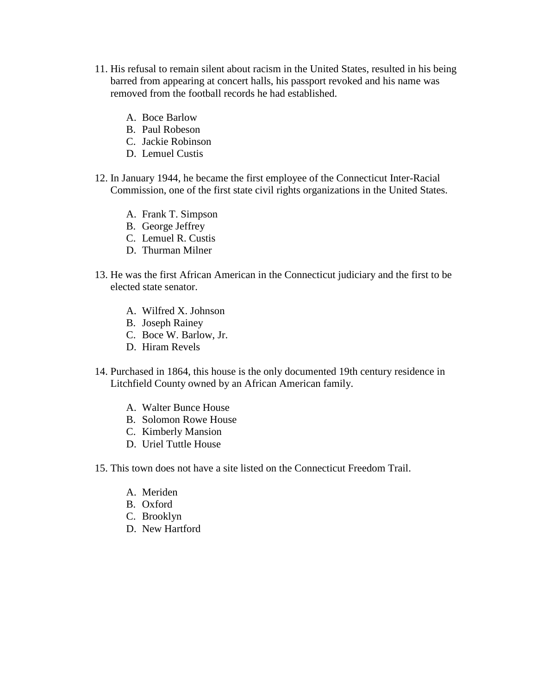- 11. His refusal to remain silent about racism in the United States, resulted in his being barred from appearing at concert halls, his passport revoked and his name was removed from the football records he had established.
	- A. Boce Barlow
	- B. Paul Robeson
	- C. Jackie Robinson
	- D. Lemuel Custis
- 12. In January 1944, he became the first employee of the Connecticut Inter-Racial Commission, one of the first state civil rights organizations in the United States.
	- A. Frank T. Simpson
	- B. George Jeffrey
	- C. Lemuel R. Custis
	- D. Thurman Milner
- 13. He was the first African American in the Connecticut judiciary and the first to be elected state senator.
	- A. Wilfred X. Johnson
	- B. Joseph Rainey
	- C. Boce W. Barlow, Jr.
	- D. Hiram Revels
- 14. Purchased in 1864, this house is the only documented 19th century residence in Litchfield County owned by an African American family.
	- A. Walter Bunce House
	- B. Solomon Rowe House
	- C. Kimberly Mansion
	- D. Uriel Tuttle House
- 15. This town does not have a site listed on the Connecticut Freedom Trail.
	- A. Meriden
	- B. Oxford
	- C. Brooklyn
	- D. New Hartford